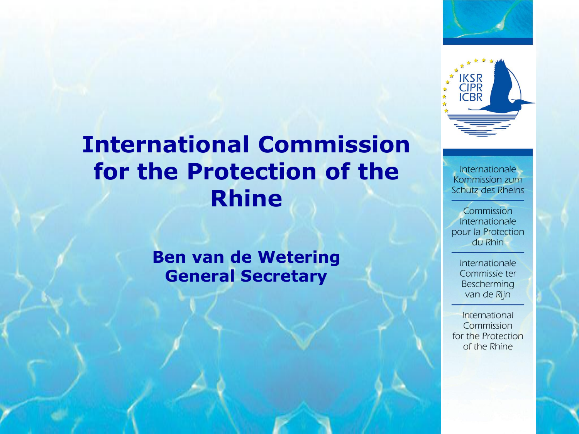

# **International Commission for the Protection of the Rhine**

#### **Ben van de Wetering General Secretary**

Internationale Kommission zum **Schutz des Rheins** 

Commission Internationale pour la Protection du Rhin

> Internationale Commissie ter Bescherming van de Rijn

International Commission for the Protection of the Rhine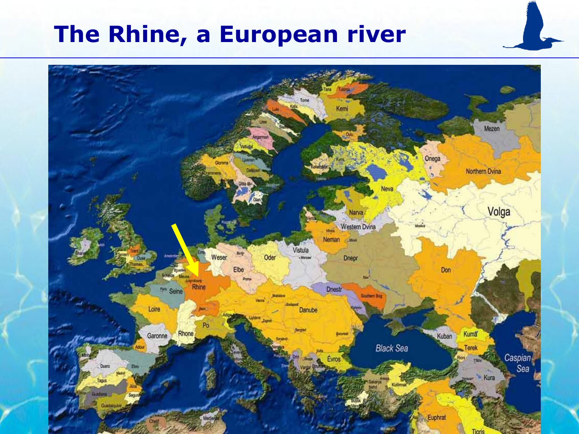## **The Rhine, a European river**

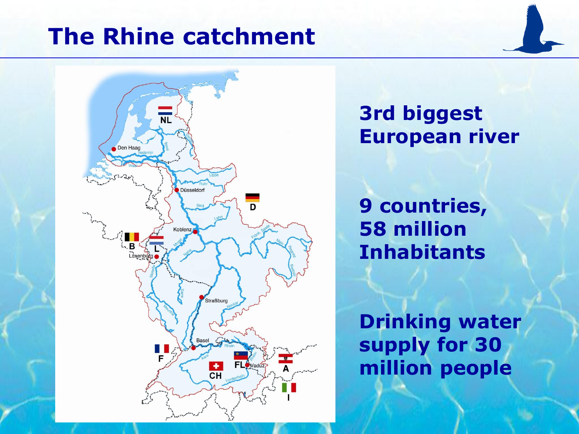## **The Rhine catchment**



**3rd biggest European river** 

**9 countries, 58 million Inhabitants**

**Drinking water supply for 30 million people**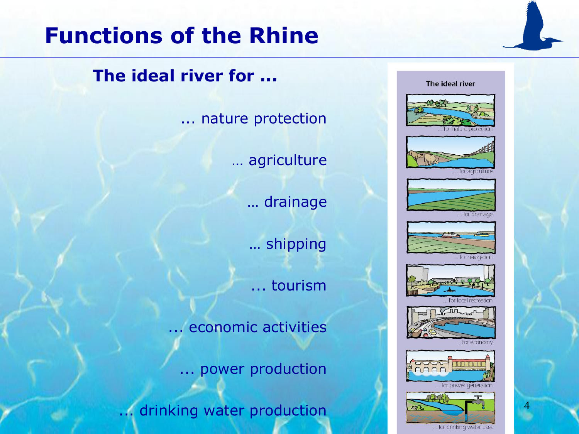## **Functions of the Rhine**

**The ideal river for ...**

... nature protection

… agriculture

… drainage

… shipping

... tourism

... economic activities

... power production

... drinking water production

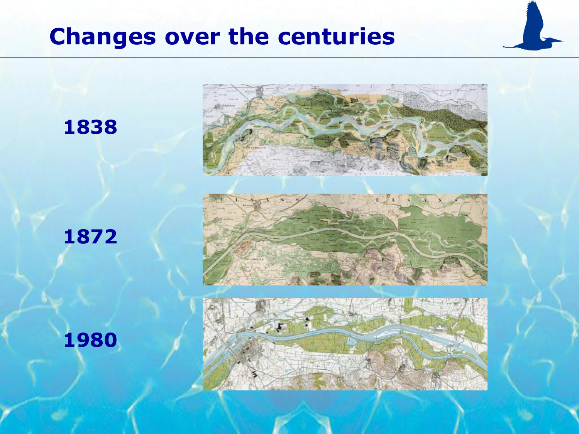# **Changes over the centuries**

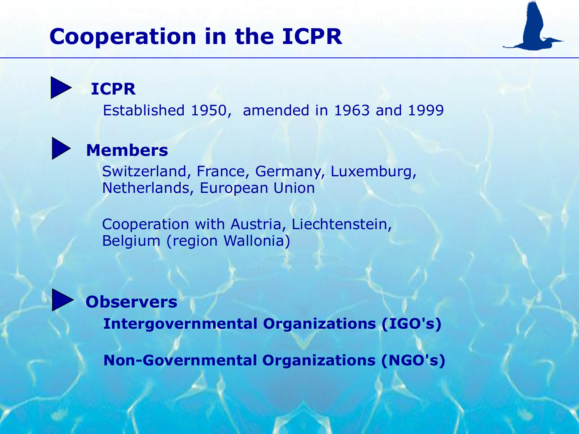# **Cooperation in the ICPR**

**ICPR**

Established 1950, amended in 1963 and 1999

#### **Members**

Switzerland, France, Germany, Luxemburg, Netherlands, European Union

Cooperation with Austria, Liechtenstein, Belgium (region Wallonia)



**Observers**

**Intergovernmental Organizations (IGO's)**

**Non-Governmental Organizations (NGO's)**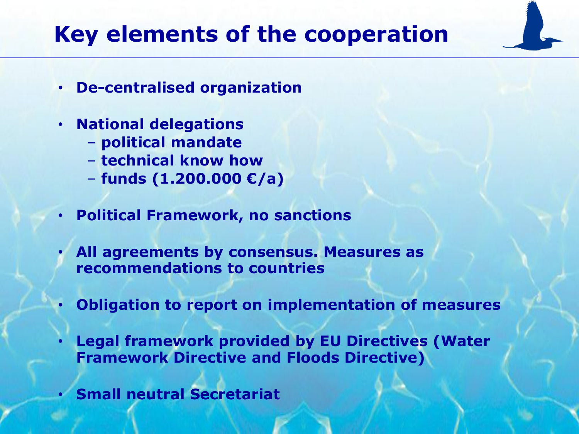# **Key elements of the cooperation**

- **De-centralised organization**
- **National delegations**
	- **political mandate**
	- **technical know how**
	- **funds (1.200.000 €/a)**
- **Political Framework, no sanctions**
	- **All agreements by consensus. Measures as recommendations to countries**
- **Obligation to report on implementation of measures**
- **Legal framework provided by EU Directives (Water Framework Directive and Floods Directive)**
- **Small neutral Secretariat**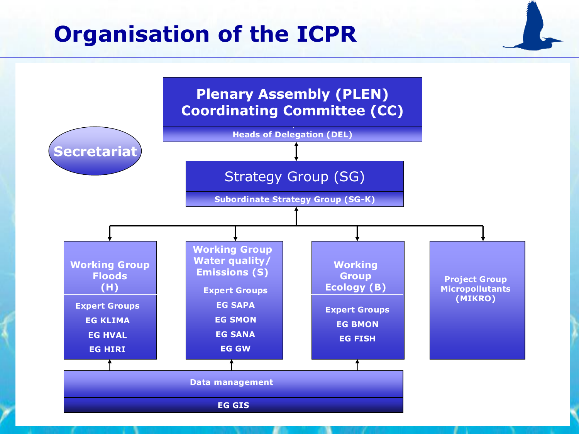## **Organisation of the ICPR**

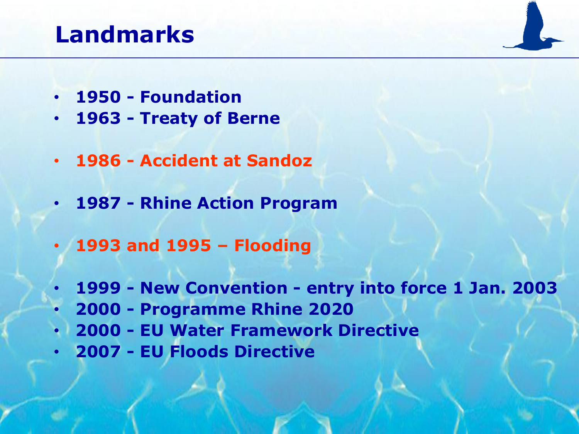# **Landmarks**

- **1950 - Foundation**
- **1963 - Treaty of Berne**
- **1986 - Accident at Sandoz**
- **1987 - Rhine Action Program**
- **1993 and 1995 – Flooding**
	- **1999 - New Convention - entry into force 1 Jan. 2003**
- **2000 - Programme Rhine 2020**
- **2000 - EU Water Framework Directive**
- **2007 - EU Floods Directive**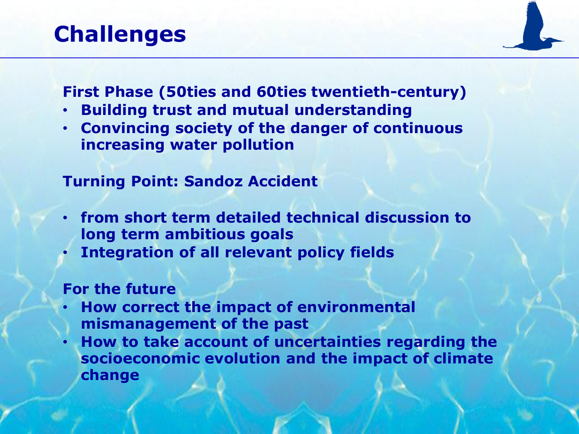## **Challenges**

**First Phase (50ties and 60ties twentieth-century)**

- **Building trust and mutual understanding**
- **Convincing society of the danger of continuous increasing water pollution**

#### **Turning Point: Sandoz Accident**

- **from short term detailed technical discussion to long term ambitious goals**
- **Integration of all relevant policy fields**

#### **For the future**

- **How correct the impact of environmental mismanagement of the past**
- **How to take account of uncertainties regarding the socioeconomic evolution and the impact of climate change**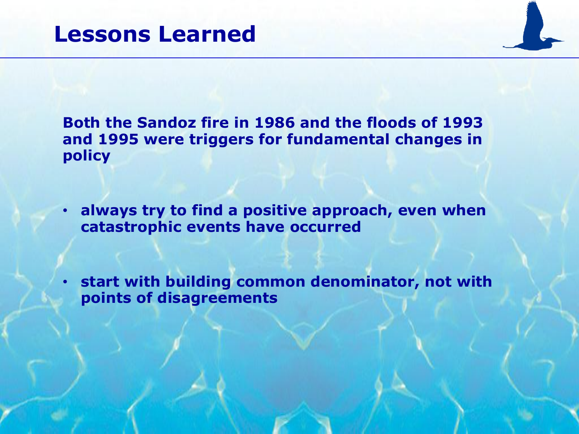**Both the Sandoz fire in 1986 and the floods of 1993 and 1995 were triggers for fundamental changes in policy**

• **always try to find a positive approach, even when catastrophic events have occurred**

• **start with building common denominator, not with points of disagreements**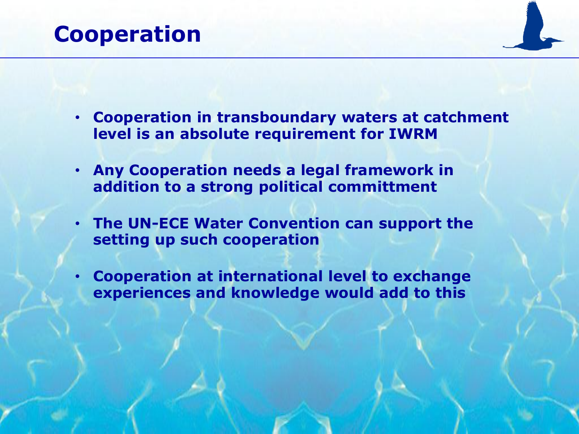#### **Cooperation**

- **Cooperation in transboundary waters at catchment level is an absolute requirement for IWRM**
- **Any Cooperation needs a legal framework in addition to a strong political committment**
- **The UN-ECE Water Convention can support the setting up such cooperation**
- **Cooperation at international level to exchange experiences and knowledge would add to this**